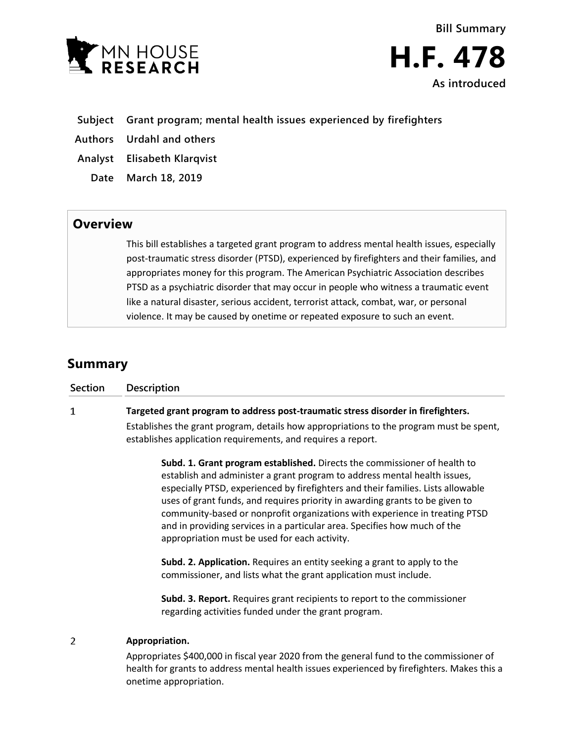

**Bill Summary H.F. 478 As introduced**

- **Subject Grant program; mental health issues experienced by firefighters**
- **Authors Urdahl and others**
- **Analyst Elisabeth Klarqvist**
	- **Date March 18, 2019**

## **Overview**

This bill establishes a targeted grant program to address mental health issues, especially post-traumatic stress disorder (PTSD), experienced by firefighters and their families, and appropriates money for this program. The American Psychiatric Association describes PTSD as a psychiatric disorder that may occur in people who witness a traumatic event like a natural disaster, serious accident, terrorist attack, combat, war, or personal violence. It may be caused by onetime or repeated exposure to such an event.

## **Summary**

| <b>Section</b> | Description                                                                                                                                                                                                                                                                                                                                                                                                                                                                                                                             |
|----------------|-----------------------------------------------------------------------------------------------------------------------------------------------------------------------------------------------------------------------------------------------------------------------------------------------------------------------------------------------------------------------------------------------------------------------------------------------------------------------------------------------------------------------------------------|
| 1              | Targeted grant program to address post-traumatic stress disorder in firefighters.                                                                                                                                                                                                                                                                                                                                                                                                                                                       |
|                | Establishes the grant program, details how appropriations to the program must be spent,<br>establishes application requirements, and requires a report.                                                                                                                                                                                                                                                                                                                                                                                 |
|                | Subd. 1. Grant program established. Directs the commissioner of health to<br>establish and administer a grant program to address mental health issues,<br>especially PTSD, experienced by firefighters and their families. Lists allowable<br>uses of grant funds, and requires priority in awarding grants to be given to<br>community-based or nonprofit organizations with experience in treating PTSD<br>and in providing services in a particular area. Specifies how much of the<br>appropriation must be used for each activity. |
|                | Subd. 2. Application. Requires an entity seeking a grant to apply to the<br>commissioner, and lists what the grant application must include.                                                                                                                                                                                                                                                                                                                                                                                            |
|                | <b>Subd. 3. Report.</b> Requires grant recipients to report to the commissioner<br>regarding activities funded under the grant program.                                                                                                                                                                                                                                                                                                                                                                                                 |
|                | Appropriation.                                                                                                                                                                                                                                                                                                                                                                                                                                                                                                                          |

Appropriates \$400,000 in fiscal year 2020 from the general fund to the commissioner of health for grants to address mental health issues experienced by firefighters. Makes this a onetime appropriation.